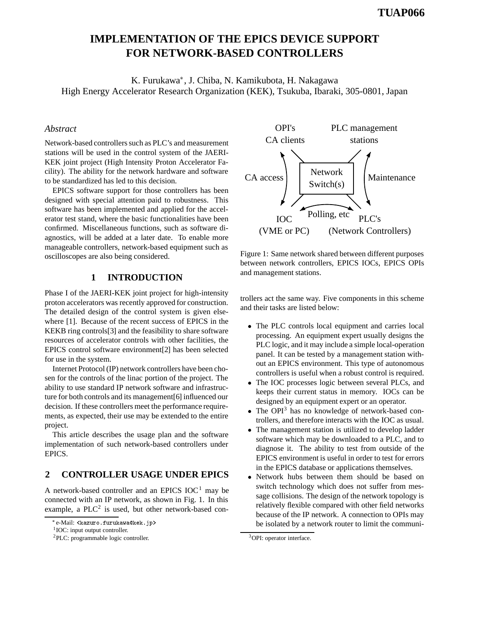# **IMPLEMENTATION OF THE EPICS DEVICE SUPPORT FOR NETWORK-BASED CONTROLLERS**

K. Furukawa , J. Chiba, N. Kamikubota, H. Nakagawa High Energy Accelerator Research Organization (KEK), Tsukuba, Ibaraki, 305-0801, Japan

#### *Abstract*

Network-based controllers such as PLC's and measurement stations will be used in the control system of the JAERI-KEK joint project (High Intensity Proton Accelerator Facility). The ability for the network hardware and software to be standardized has led to this decision.

EPICS software support for those controllers has been designed with special attention paid to robustness. This software has been implemented and applied for the accelerator test stand, where the basic functionalities have been confirmed. Miscellaneous functions, such as software diagnostics, will be added at a later date. To enable more manageable controllers, network-based equipment such as oscilloscopes are also being considered.

# **1 INTRODUCTION**

Phase I of the JAERI-KEK joint project for high-intensity proton accelerators was recently approved for construction. The detailed design of the control system is given elsewhere [1]. Because of the recent success of EPICS in the KEKB ring controls[3] and the feasibility to share software resources of accelerator controls with other facilities, the EPICS control software environment[2] has been selected for use in the system.

Internet Protocol (IP) network controllers have been chosen for the controls of the linac portion of the project. The ability to use standard IP network software and infrastructure for both controls and its management[6] influenced our decision. If these controllers meet the performance requirements, as expected, their use may be extended to the entire project.

This article describes the usage plan and the software implementation of such network-based controllers under EPICS.

# **2 CONTROLLER USAGE UNDER EPICS**

A network-based controller and an EPICS  $IOC<sup>1</sup>$  may be connected with an IP network, as shown in Fig. 1. In this example, a  $PLC<sup>2</sup>$  is used, but other network-based con-



Figure 1: Same network shared between different purposes between network controllers, EPICS IOCs, EPICS OPIs and management stations.

trollers act the same way. Five components in this scheme and their tasks are listed below:

- The PLC controls local equipment and carries local processing. An equipment expert usually designs the PLC logic, and it may include a simple local-operation panel. It can be tested by a management station without an EPICS environment. This type of autonomous controllers is useful when a robust control is required.
- The IOC processes logic between several PLCs, and keeps their current status in memory. IOCs can be designed by an equipment expert or an operator.
- The OPI<sup>3</sup> has no knowledge of network-based controllers, and therefore interacts with the IOC as usual.
- The management station is utilized to develop ladder software which may be downloaded to a PLC, and to diagnose it. The ability to test from outside of the EPICS environment is useful in order to test for errors in the EPICS database or applications themselves.
- Network hubs between them should be based on switch technology which does not suffer from message collisions. The design of the network topology is relatively flexible compared with other field networks because of the IP network. A connection to OPIs may be isolated by a network router to limit the communi-

e-Mail: <kazuro.furukawa@kek.jp>

<sup>&</sup>lt;sup>1</sup>IOC: input output controller.

<sup>2</sup>PLC: programmable logic controller.

<sup>&</sup>lt;sup>3</sup>OPI: operator interface.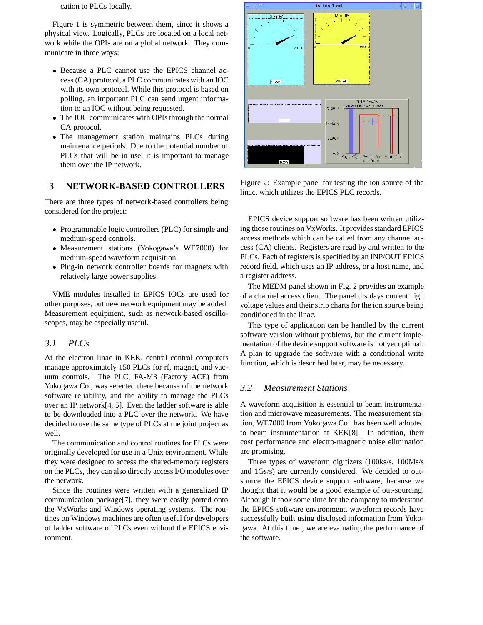cation to PLCs locally.

Figure 1 is symmetric between them, since it shows a physical view. Logically, PLCs are located on a local network while the OPIs are on a global network. They communicate in three ways:

- Because a PLC cannot use the EPICS channel access (CA) protocol, a PLC communicates with an IOC with its own protocol. While this protocol is based on polling, an important PLC can send urgent information to an IOC without being requested.
- The IOC communicates with OPIs through the normal CA protocol.
- The management station maintains PLCs during maintenance periods. Due to the potential number of PLCs that will be in use, it is important to manage them over the IP network.

### **3 NETWORK-BASED CONTROLLERS**

There are three types of network-based controllers being considered for the project:

- Programmable logic controllers (PLC) for simple and medium-speed controls.
- Measurement stations (Yokogawa's WE7000) for medium-speed waveform acquisition.
- Plug-in network controller boards for magnets with relatively large power supplies.

VME modules installed in EPICS IOCs are used for other purposes, but new network equipment may be added. Measurement equipment, such as network-based oscilloscopes, may be especially useful.

#### *3.1 PLCs*

At the electron linac in KEK, central control computers manage approximately 150 PLCs for rf, magnet, and vacuum controls. The PLC, FA-M3 (Factory ACE) from Yokogawa Co., was selected there because of the network software reliability, and the ability to manage the PLCs over an IP network[4, 5]. Even the ladder software is able to be downloaded into a PLC over the network. We have decided to use the same type of PLCs at the joint project as well.

The communication and control routines for PLCs were originally developed for use in a Unix environment. While they were designed to access the shared-memory registers on the PLCs, they can also directly access I/O modules over the network.

Since the routines were written with a generalized IP communication package[7], they were easily ported onto the VxWorks and Windows operating systems. The routines on Windows machines are often useful for developers of ladder software of PLCs even without the EPICS environment.



Figure 2: Example panel for testing the ion source of the linac, which utilizes the EPICS PLC records.

EPICS device support software has been written utilizing those routines on VxWorks. It provides standard EPICS access methods which can be called from any channel access (CA) clients. Registers are read by and written to the PLCs. Each of registers is specified by an INP/OUT EPICS record field, which uses an IP address, or a host name, and a register address.

The MEDM panel shown in Fig. 2 provides an example of a channel access client. The panel displays current high voltage values and their strip charts for the ion source being conditioned in the linac.

This type of application can be handled by the current software version without problems, but the current implementation of the device support software is not yet optimal. A plan to upgrade the software with a conditional write function, which is described later, may be necessary.

#### *3.2 Measurement Stations*

A waveform acquisition is essential to beam instrumentation and microwave measurements. The measurement station, WE7000 from Yokogawa Co. has been well adopted to beam instrumentation at KEK[8]. In addition, their cost performance and electro-magnetic noise elimination are promising.

Three types of waveform digitizers (100ks/s, 100Ms/s and 1Gs/s) are currently considered. We decided to outsource the EPICS device support software, because we thought that it would be a good example of out-sourcing. Although it took some time for the company to understand the EPICS software environment, waveform records have successfully built using disclosed information from Yokogawa. At this time , we are evaluating the performance of the software.